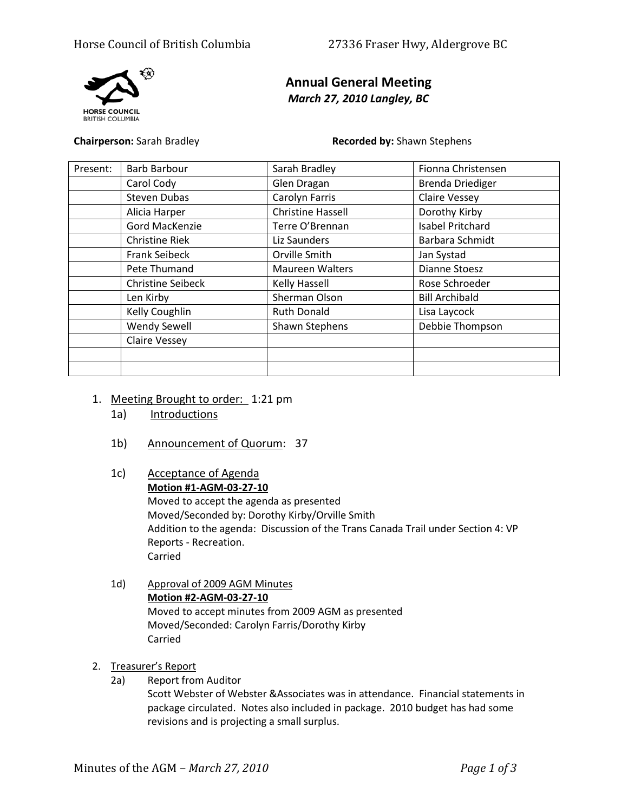

# **Annual General Meeting** *March 27, 2010 Langley, BC*

**Chairperson:** Sarah Bradley **Recorded by:** Shawn Stephens

| Present: | <b>Barb Barbour</b>      | Sarah Bradley            | Fionna Christensen      |
|----------|--------------------------|--------------------------|-------------------------|
|          | Carol Cody               | Glen Dragan              | <b>Brenda Driediger</b> |
|          | <b>Steven Dubas</b>      | Carolyn Farris           | <b>Claire Vessey</b>    |
|          | Alicia Harper            | <b>Christine Hassell</b> | Dorothy Kirby           |
|          | Gord MacKenzie           | Terre O'Brennan          | <b>Isabel Pritchard</b> |
|          | <b>Christine Riek</b>    | Liz Saunders             | Barbara Schmidt         |
|          | <b>Frank Seibeck</b>     | Orville Smith            | Jan Systad              |
|          | Pete Thumand             | <b>Maureen Walters</b>   | <b>Dianne Stoesz</b>    |
|          | <b>Christine Seibeck</b> | Kelly Hassell            | Rose Schroeder          |
|          | Len Kirby                | Sherman Olson            | <b>Bill Archibald</b>   |
|          | Kelly Coughlin           | <b>Ruth Donald</b>       | Lisa Laycock            |
|          | <b>Wendy Sewell</b>      | Shawn Stephens           | Debbie Thompson         |
|          | <b>Claire Vessey</b>     |                          |                         |
|          |                          |                          |                         |
|          |                          |                          |                         |

- 1. Meeting Brought to order: 1:21 pm
	- 1a) Introductions
	- 1b) Announcement of Quorum: 37
	- 1c) Acceptance of Agenda **Motion #1-AGM-03-27-10** Moved to accept the agenda as presented Moved/Seconded by: Dorothy Kirby/Orville Smith Addition to the agenda: Discussion of the Trans Canada Trail under Section 4: VP Reports - Recreation. Carried
	- 1d) Approval of 2009 AGM Minutes **Motion #2-AGM-03-27-10** Moved to accept minutes from 2009 AGM as presented Moved/Seconded: Carolyn Farris/Dorothy Kirby Carried
- 2. Treasurer's Report
	- 2a) Report from Auditor

Scott Webster of Webster &Associates was in attendance. Financial statements in package circulated. Notes also included in package. 2010 budget has had some revisions and is projecting a small surplus.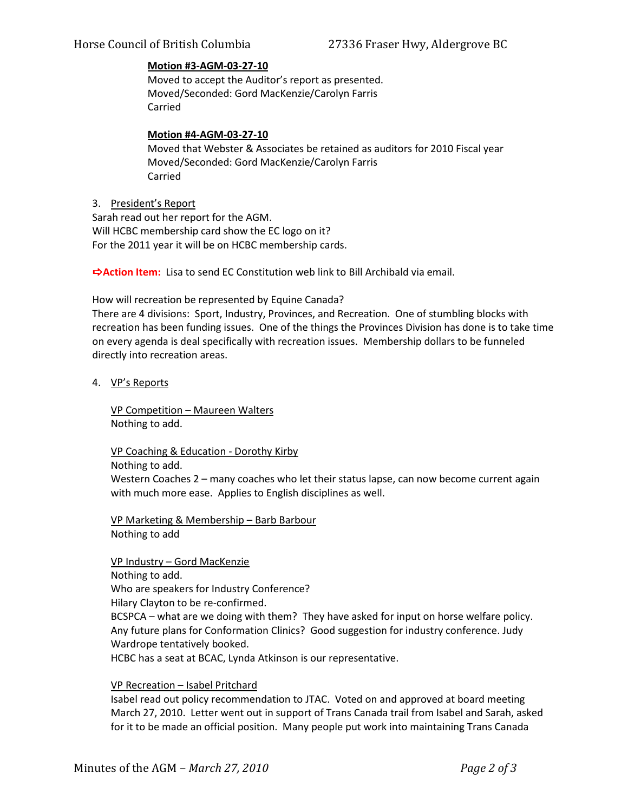# **Motion #3-AGM-03-27-10**

Moved to accept the Auditor's report as presented. Moved/Seconded: Gord MacKenzie/Carolyn Farris Carried

# **Motion #4-AGM-03-27-10**

Moved that Webster & Associates be retained as auditors for 2010 Fiscal year Moved/Seconded: Gord MacKenzie/Carolyn Farris Carried

#### 3. President's Report

Sarah read out her report for the AGM. Will HCBC membership card show the EC logo on it? For the 2011 year it will be on HCBC membership cards.

**Action Item:** Lisa to send EC Constitution web link to Bill Archibald via email.

How will recreation be represented by Equine Canada?

There are 4 divisions: Sport, Industry, Provinces, and Recreation. One of stumbling blocks with recreation has been funding issues. One of the things the Provinces Division has done is to take time on every agenda is deal specifically with recreation issues. Membership dollars to be funneled directly into recreation areas.

#### 4. VP's Reports

VP Competition – Maureen Walters Nothing to add.

VP Coaching & Education - Dorothy Kirby

Nothing to add.

Western Coaches 2 – many coaches who let their status lapse, can now become current again with much more ease. Applies to English disciplines as well.

VP Marketing & Membership – Barb Barbour Nothing to add

VP Industry – Gord MacKenzie Nothing to add. Who are speakers for Industry Conference? Hilary Clayton to be re-confirmed. BCSPCA – what are we doing with them? They have asked for input on horse welfare policy. Any future plans for Conformation Clinics? Good suggestion for industry conference. Judy Wardrope tentatively booked. HCBC has a seat at BCAC, Lynda Atkinson is our representative.

# VP Recreation – Isabel Pritchard

Isabel read out policy recommendation to JTAC. Voted on and approved at board meeting March 27, 2010. Letter went out in support of Trans Canada trail from Isabel and Sarah, asked for it to be made an official position. Many people put work into maintaining Trans Canada